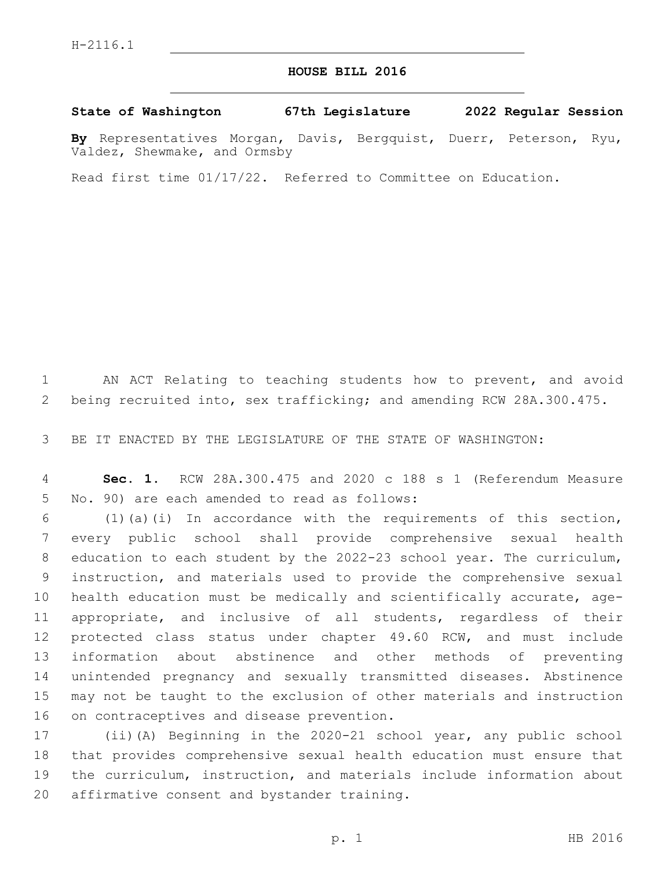## **HOUSE BILL 2016**

## **State of Washington 67th Legislature 2022 Regular Session**

**By** Representatives Morgan, Davis, Bergquist, Duerr, Peterson, Ryu, Valdez, Shewmake, and Ormsby

Read first time 01/17/22. Referred to Committee on Education.

 AN ACT Relating to teaching students how to prevent, and avoid being recruited into, sex trafficking; and amending RCW 28A.300.475.

BE IT ENACTED BY THE LEGISLATURE OF THE STATE OF WASHINGTON:

 **Sec. 1.** RCW 28A.300.475 and 2020 c 188 s 1 (Referendum Measure 5 No. 90) are each amended to read as follows:

 (1)(a)(i) In accordance with the requirements of this section, every public school shall provide comprehensive sexual health education to each student by the 2022-23 school year. The curriculum, instruction, and materials used to provide the comprehensive sexual health education must be medically and scientifically accurate, age- appropriate, and inclusive of all students, regardless of their protected class status under chapter 49.60 RCW, and must include information about abstinence and other methods of preventing unintended pregnancy and sexually transmitted diseases. Abstinence may not be taught to the exclusion of other materials and instruction 16 on contraceptives and disease prevention.

 (ii)(A) Beginning in the 2020-21 school year, any public school that provides comprehensive sexual health education must ensure that the curriculum, instruction, and materials include information about 20 affirmative consent and bystander training.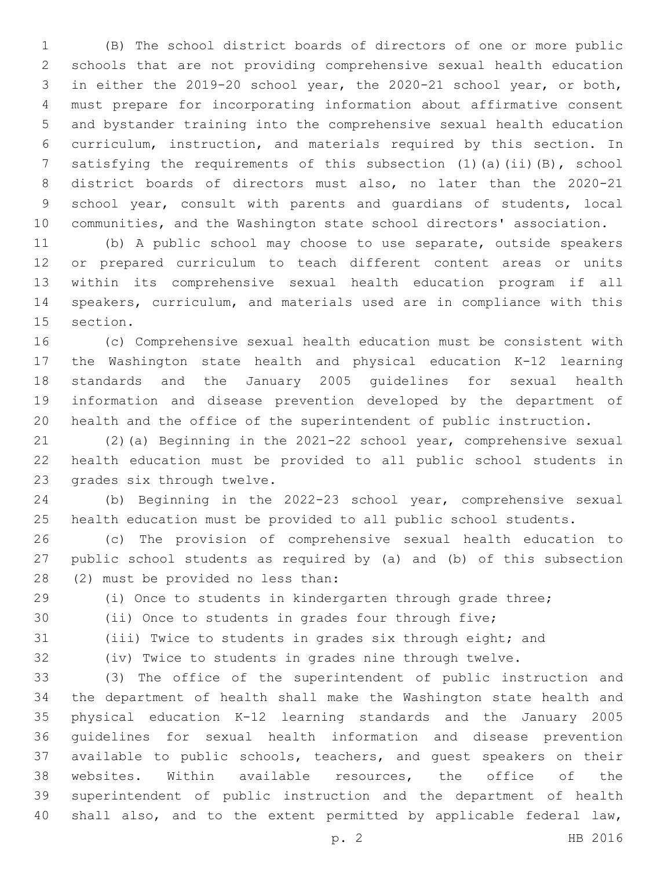(B) The school district boards of directors of one or more public schools that are not providing comprehensive sexual health education in either the 2019-20 school year, the 2020-21 school year, or both, must prepare for incorporating information about affirmative consent and bystander training into the comprehensive sexual health education curriculum, instruction, and materials required by this section. In 7 satisfying the requirements of this subsection (1)(a)(ii)(B), school district boards of directors must also, no later than the 2020-21 school year, consult with parents and guardians of students, local communities, and the Washington state school directors' association.

 (b) A public school may choose to use separate, outside speakers or prepared curriculum to teach different content areas or units within its comprehensive sexual health education program if all speakers, curriculum, and materials used are in compliance with this 15 section.

 (c) Comprehensive sexual health education must be consistent with the Washington state health and physical education K-12 learning standards and the January 2005 guidelines for sexual health information and disease prevention developed by the department of health and the office of the superintendent of public instruction.

 (2)(a) Beginning in the 2021-22 school year, comprehensive sexual health education must be provided to all public school students in 23 grades six through twelve.

 (b) Beginning in the 2022-23 school year, comprehensive sexual health education must be provided to all public school students.

 (c) The provision of comprehensive sexual health education to public school students as required by (a) and (b) of this subsection 28 (2) must be provided no less than:

(i) Once to students in kindergarten through grade three;

(ii) Once to students in grades four through five;

(iii) Twice to students in grades six through eight; and

(iv) Twice to students in grades nine through twelve.

 (3) The office of the superintendent of public instruction and the department of health shall make the Washington state health and physical education K-12 learning standards and the January 2005 guidelines for sexual health information and disease prevention available to public schools, teachers, and guest speakers on their websites. Within available resources, the office of the superintendent of public instruction and the department of health shall also, and to the extent permitted by applicable federal law,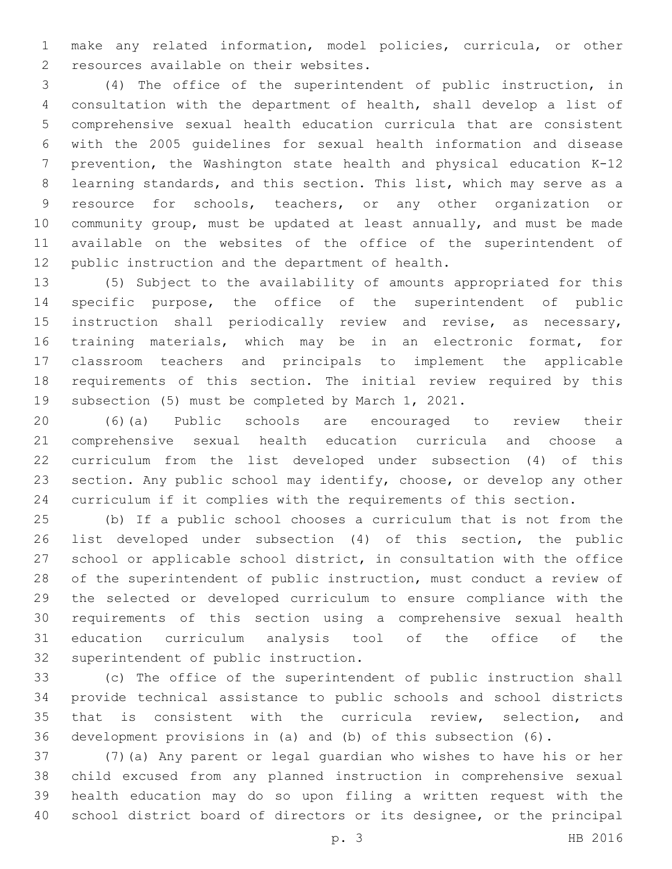make any related information, model policies, curricula, or other 2 resources available on their websites.

 (4) The office of the superintendent of public instruction, in consultation with the department of health, shall develop a list of comprehensive sexual health education curricula that are consistent with the 2005 guidelines for sexual health information and disease prevention, the Washington state health and physical education K-12 learning standards, and this section. This list, which may serve as a resource for schools, teachers, or any other organization or community group, must be updated at least annually, and must be made available on the websites of the office of the superintendent of 12 public instruction and the department of health.

 (5) Subject to the availability of amounts appropriated for this specific purpose, the office of the superintendent of public instruction shall periodically review and revise, as necessary, training materials, which may be in an electronic format, for classroom teachers and principals to implement the applicable requirements of this section. The initial review required by this subsection (5) must be completed by March 1, 2021.

 (6)(a) Public schools are encouraged to review their comprehensive sexual health education curricula and choose a curriculum from the list developed under subsection (4) of this section. Any public school may identify, choose, or develop any other curriculum if it complies with the requirements of this section.

 (b) If a public school chooses a curriculum that is not from the list developed under subsection (4) of this section, the public school or applicable school district, in consultation with the office of the superintendent of public instruction, must conduct a review of the selected or developed curriculum to ensure compliance with the requirements of this section using a comprehensive sexual health education curriculum analysis tool of the office of the 32 superintendent of public instruction.

 (c) The office of the superintendent of public instruction shall provide technical assistance to public schools and school districts that is consistent with the curricula review, selection, and development provisions in (a) and (b) of this subsection (6).

 (7)(a) Any parent or legal guardian who wishes to have his or her child excused from any planned instruction in comprehensive sexual health education may do so upon filing a written request with the school district board of directors or its designee, or the principal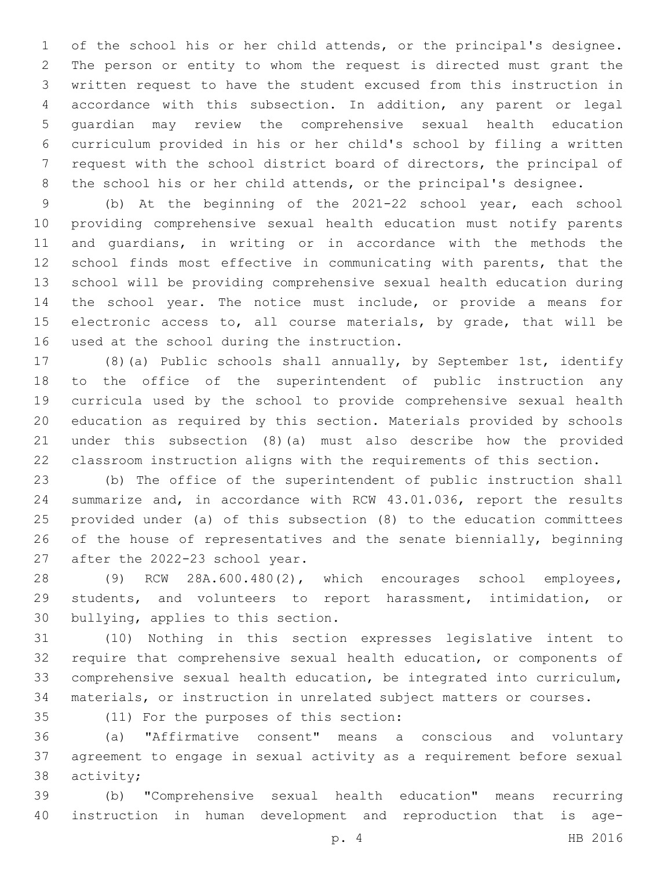of the school his or her child attends, or the principal's designee. The person or entity to whom the request is directed must grant the written request to have the student excused from this instruction in accordance with this subsection. In addition, any parent or legal guardian may review the comprehensive sexual health education curriculum provided in his or her child's school by filing a written request with the school district board of directors, the principal of 8 the school his or her child attends, or the principal's designee.

 (b) At the beginning of the 2021-22 school year, each school providing comprehensive sexual health education must notify parents and guardians, in writing or in accordance with the methods the school finds most effective in communicating with parents, that the school will be providing comprehensive sexual health education during the school year. The notice must include, or provide a means for 15 electronic access to, all course materials, by grade, that will be 16 used at the school during the instruction.

 (8)(a) Public schools shall annually, by September 1st, identify to the office of the superintendent of public instruction any curricula used by the school to provide comprehensive sexual health education as required by this section. Materials provided by schools under this subsection (8)(a) must also describe how the provided classroom instruction aligns with the requirements of this section.

 (b) The office of the superintendent of public instruction shall summarize and, in accordance with RCW 43.01.036, report the results provided under (a) of this subsection (8) to the education committees of the house of representatives and the senate biennially, beginning 27 after the 2022-23 school year.

 (9) RCW 28A.600.480(2), which encourages school employees, students, and volunteers to report harassment, intimidation, or 30 bullying, applies to this section.

 (10) Nothing in this section expresses legislative intent to require that comprehensive sexual health education, or components of comprehensive sexual health education, be integrated into curriculum, materials, or instruction in unrelated subject matters or courses.

(11) For the purposes of this section:35

 (a) "Affirmative consent" means a conscious and voluntary agreement to engage in sexual activity as a requirement before sexual 38 activity;

 (b) "Comprehensive sexual health education" means recurring instruction in human development and reproduction that is age-

p. 4 HB 2016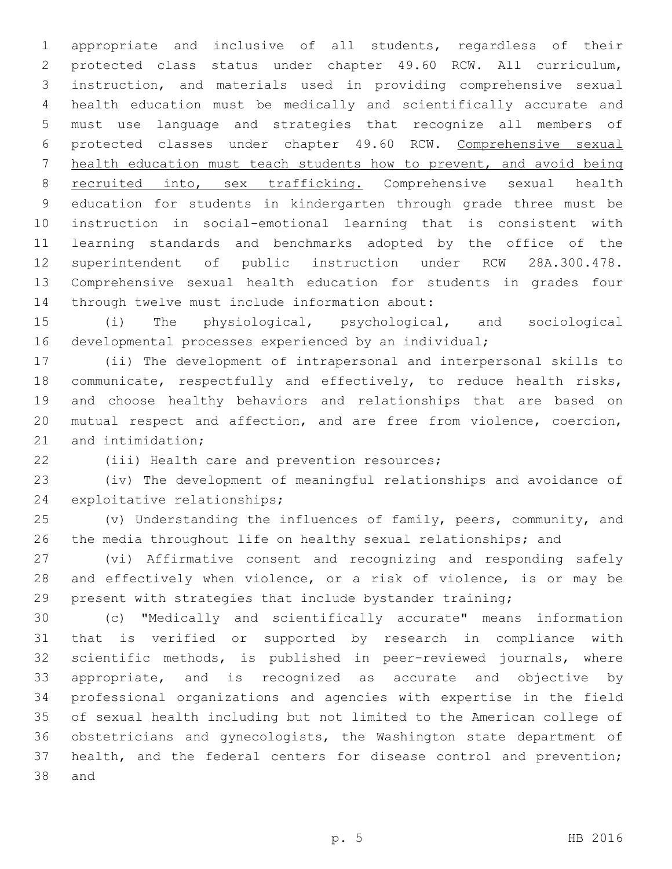appropriate and inclusive of all students, regardless of their protected class status under chapter 49.60 RCW. All curriculum, instruction, and materials used in providing comprehensive sexual health education must be medically and scientifically accurate and must use language and strategies that recognize all members of protected classes under chapter 49.60 RCW. Comprehensive sexual health education must teach students how to prevent, and avoid being recruited into, sex trafficking. Comprehensive sexual health education for students in kindergarten through grade three must be instruction in social-emotional learning that is consistent with learning standards and benchmarks adopted by the office of the superintendent of public instruction under RCW 28A.300.478. Comprehensive sexual health education for students in grades four 14 through twelve must include information about:

 (i) The physiological, psychological, and sociological developmental processes experienced by an individual;

 (ii) The development of intrapersonal and interpersonal skills to communicate, respectfully and effectively, to reduce health risks, and choose healthy behaviors and relationships that are based on mutual respect and affection, and are free from violence, coercion, 21 and intimidation;

22 (iii) Health care and prevention resources;

 (iv) The development of meaningful relationships and avoidance of 24 exploitative relationships;

 (v) Understanding the influences of family, peers, community, and the media throughout life on healthy sexual relationships; and

 (vi) Affirmative consent and recognizing and responding safely and effectively when violence, or a risk of violence, is or may be present with strategies that include bystander training;

 (c) "Medically and scientifically accurate" means information that is verified or supported by research in compliance with scientific methods, is published in peer-reviewed journals, where appropriate, and is recognized as accurate and objective by professional organizations and agencies with expertise in the field of sexual health including but not limited to the American college of obstetricians and gynecologists, the Washington state department of health, and the federal centers for disease control and prevention; 38 and